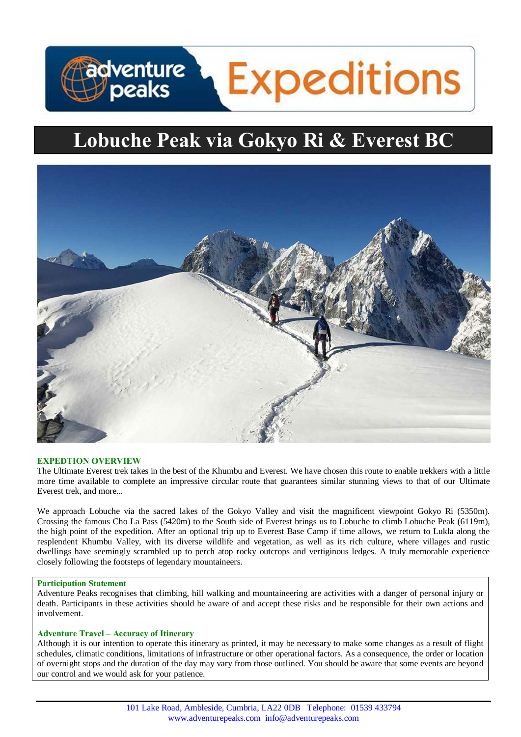# adventure<br>Deaks **Expeditions**

# **Lobuche Peak via Gokyo Ri & Everest BC**



#### **EXPEDTION OVERVIEW**

The Ultimate Everest trek takes in the best of the Khumbu and Everest. We have chosen this route to enable trekkers with a little more time available to complete an impressive circular route that guarantees similar stunning views to that of our Ultimate Everest trek, and more...

We approach Lobuche via the sacred lakes of the Gokyo Valley and visit the magnificent viewpoint Gokyo Ri (5350m). Crossing the famous Cho La Pass (5420m) to the South side of Everest brings us to Lobuche to climb Lobuche Peak (6119m), the high point of the expedition. After an optional trip up to Everest Base Camp if time allows, we return to Lukla along the resplendent Khumbu Valley, with its diverse wildlife and vegetation, as well as its rich culture, where villages and rustic dwellings have seemingly scrambled up to perch atop rocky outcrops and vertiginous ledges. A truly memorable experience closely following the footsteps of legendary mountaineers.

# **Participation Statement**

Adventure Peaks recognises that climbing, hill walking and mountaineering are activities with a danger of personal injury or death. Participants in these activities should be aware of and accept these risks and be responsible for their own actions and involvement.

#### **Adventure Travel – Accuracy of Itinerary**

Although it is our intention to operate this itinerary as printed, it may be necessary to make some changes as a result of flight schedules, climatic conditions, limitations of infrastructure or other operational factors. As a consequence, the order or location of overnight stops and the duration of the day may vary from those outlined. You should be aware that some events are beyond our control and we would ask for your patience.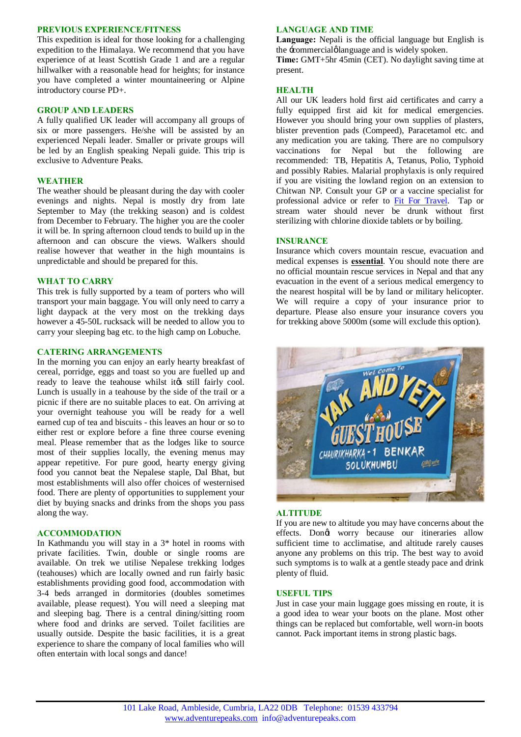#### **PREVIOUS EXPERIENCE/FITNESS**

This expedition is ideal for those looking for a challenging expedition to the Himalaya. We recommend that you have experience of at least Scottish Grade 1 and are a regular hillwalker with a reasonable head for heights; for instance you have completed a winter mountaineering or Alpine introductory course PD+.

#### **GROUP AND LEADERS**

A fully qualified UK leader will accompany all groups of six or more passengers. He/she will be assisted by an experienced Nepali leader. Smaller or private groups will be led by an English speaking Nepali guide. This trip is exclusive to Adventure Peaks.

# **WEATHER**

The weather should be pleasant during the day with cooler evenings and nights. Nepal is mostly dry from late September to May (the trekking season) and is coldest from December to February. The higher you are the cooler it will be. In spring afternoon cloud tends to build up in the afternoon and can obscure the views. Walkers should realise however that weather in the high mountains is unpredictable and should be prepared for this.

#### **WHAT TO CARRY**

This trek is fully supported by a team of porters who will transport your main baggage. You will only need to carry a light daypack at the very most on the trekking days however a 45-50L rucksack will be needed to allow you to carry your sleeping bag etc. to the high camp on Lobuche.

## **CATERING ARRANGEMENTS**

In the morning you can enjoy an early hearty breakfast of cereal, porridge, eggs and toast so you are fuelled up and ready to leave the teahouse whilst its still fairly cool. Lunch is usually in a teahouse by the side of the trail or a picnic if there are no suitable places to eat. On arriving at your overnight teahouse you will be ready for a well earned cup of tea and biscuits - this leaves an hour or so to either rest or explore before a fine three course evening meal. Please remember that as the lodges like to source most of their supplies locally, the evening menus may appear repetitive. For pure good, hearty energy giving food you cannot beat the Nepalese staple, Dal Bhat, but most establishments will also offer choices of westernised food. There are plenty of opportunities to supplement your diet by buying snacks and drinks from the shops you pass along the way.

#### **ACCOMMODATION**

In Kathmandu you will stay in a 3\* hotel in rooms with private facilities. Twin, double or single rooms are available. On trek we utilise Nepalese trekking lodges (teahouses) which are locally owned and run fairly basic establishments providing good food, accommodation with 3-4 beds arranged in dormitories (doubles sometimes available, please request). You will need a sleeping mat and sleeping bag. There is a central dining/sitting room where food and drinks are served. Toilet facilities are usually outside. Despite the basic facilities, it is a great experience to share the company of local families who will often entertain with local songs and dance!

#### **LANGUAGE AND TIME**

**Language:** Nepali is the official language but English is the -commercial olanguage and is widely spoken.

**Time:** GMT+5hr 45min (CET). No daylight saving time at present.

### **HEALTH**

All our UK leaders hold first aid certificates and carry a fully equipped first aid kit for medical emergencies. However you should bring your own supplies of plasters, blister prevention pads (Compeed), Paracetamol etc. and any medication you are taking. There are no compulsory vaccinations for Nepal but the following are recommended: TB, Hepatitis A, Tetanus, Polio, Typhoid and possibly Rabies. Malarial prophylaxis is only required if you are visiting the lowland region on an extension to Chitwan NP. Consult your GP or a vaccine specialist for professional advice or refer to Fit For Travel. Tap or stream water should never be drunk without first sterilizing with chlorine dioxide tablets or by boiling.

#### **INSURANCE**

Insurance which covers mountain rescue, evacuation and medical expenses is **essential**. You should note there are no official mountain rescue services in Nepal and that any evacuation in the event of a serious medical emergency to the nearest hospital will be by land or military helicopter. We will require a copy of your insurance prior to departure. Please also ensure your insurance covers you for trekking above 5000m (some will exclude this option).



#### **ALTITUDE**

If you are new to altitude you may have concerns about the effects. Dongt worry because our itineraries allow sufficient time to acclimatise, and altitude rarely causes anyone any problems on this trip. The best way to avoid such symptoms is to walk at a gentle steady pace and drink plenty of fluid.

### **USEFUL TIPS**

Just in case your main luggage goes missing en route, it is a good idea to wear your boots on the plane. Most other things can be replaced but comfortable, well worn-in boots cannot. Pack important items in strong plastic bags.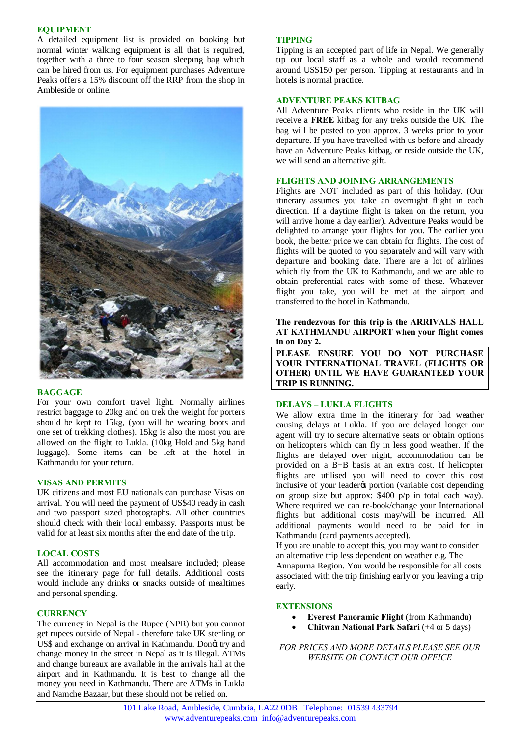# **EQUIPMENT**

A detailed equipment list is provided on booking but normal winter walking equipment is all that is required, together with a three to four season sleeping bag which can be hired from us. For equipment purchases Adventure Peaks offers a 15% discount off the RRP from the shop in Ambleside or online.



# **BAGGAGE**

For your own comfort travel light. Normally airlines restrict baggage to 20kg and on trek the weight for porters should be kept to 15kg, (you will be wearing boots and one set of trekking clothes). 15kg is also the most you are allowed on the flight to Lukla. (10kg Hold and 5kg hand luggage). Some items can be left at the hotel in Kathmandu for your return.

# **VISAS AND PERMITS**

UK citizens and most EU nationals can purchase Visas on arrival. You will need the payment of US\$40 ready in cash and two passport sized photographs. All other countries should check with their local embassy. Passports must be valid for at least six months after the end date of the trip.

## **LOCAL COSTS**

All accommodation and most mealsare included; please see the itinerary page for full details. Additional costs would include any drinks or snacks outside of mealtimes and personal spending.

#### **CURRENCY**

The currency in Nepal is the Rupee (NPR) but you cannot get rupees outside of Nepal - therefore take UK sterling or US\$ and exchange on arrival in Kathmandu. Dongt try and change money in the street in Nepal as it is illegal. ATMs and change bureaux are available in the arrivals hall at the airport and in Kathmandu. It is best to change all the money you need in Kathmandu. There are ATMs in Lukla and Namche Bazaar, but these should not be relied on.

#### **TIPPING**

Tipping is an accepted part of life in Nepal. We generally tip our local staff as a whole and would recommend around US\$150 per person. Tipping at restaurants and in hotels is normal practice.

#### **ADVENTURE PEAKS KITBAG**

All Adventure Peaks clients who reside in the UK will receive a **FREE** kitbag for any treks outside the UK. The bag will be posted to you approx. 3 weeks prior to your departure. If you have travelled with us before and already have an Adventure Peaks kitbag, or reside outside the UK, we will send an alternative gift.

#### **FLIGHTS AND JOINING ARRANGEMENTS**

Flights are NOT included as part of this holiday. (Our itinerary assumes you take an overnight flight in each direction. If a daytime flight is taken on the return, you will arrive home a day earlier). Adventure Peaks would be delighted to arrange your flights for you. The earlier you book, the better price we can obtain for flights. The cost of flights will be quoted to you separately and will vary with departure and booking date. There are a lot of airlines which fly from the UK to Kathmandu, and we are able to obtain preferential rates with some of these. Whatever flight you take, you will be met at the airport and transferred to the hotel in Kathmandu.

#### **The rendezvous for this trip is the ARRIVALS HALL AT KATHMANDU AIRPORT when your flight comes in on Day 2.**

**PLEASE ENSURE YOU DO NOT PURCHASE YOUR INTERNATIONAL TRAVEL (FLIGHTS OR OTHER) UNTIL WE HAVE GUARANTEED YOUR TRIP IS RUNNING.**

## **DELAYS – LUKLA FLIGHTS**

We allow extra time in the itinerary for bad weather causing delays at Lukla. If you are delayed longer our agent will try to secure alternative seats or obtain options on helicopters which can fly in less good weather. If the flights are delayed over night, accommodation can be provided on a B+B basis at an extra cost. If helicopter flights are utilised you will need to cover this cost inclusive of your leader to portion (variable cost depending on group size but approx: \$400 p/p in total each way). Where required we can re-book/change your International flights but additional costs may/will be incurred. All additional payments would need to be paid for in Kathmandu (card payments accepted).

If you are unable to accept this, you may want to consider an alternative trip less dependent on weather e.g. The Annapurna Region. You would be responsible for all costs associated with the trip finishing early or you leaving a trip early.

#### **EXTENSIONS**

- · **Everest Panoramic Flight** (from Kathmandu)
- · **Chitwan National Park Safari** (+4 or 5 days)

*FOR PRICES AND MORE DETAILS PLEASE SEE OUR WEBSITE OR CONTACT OUR OFFICE*